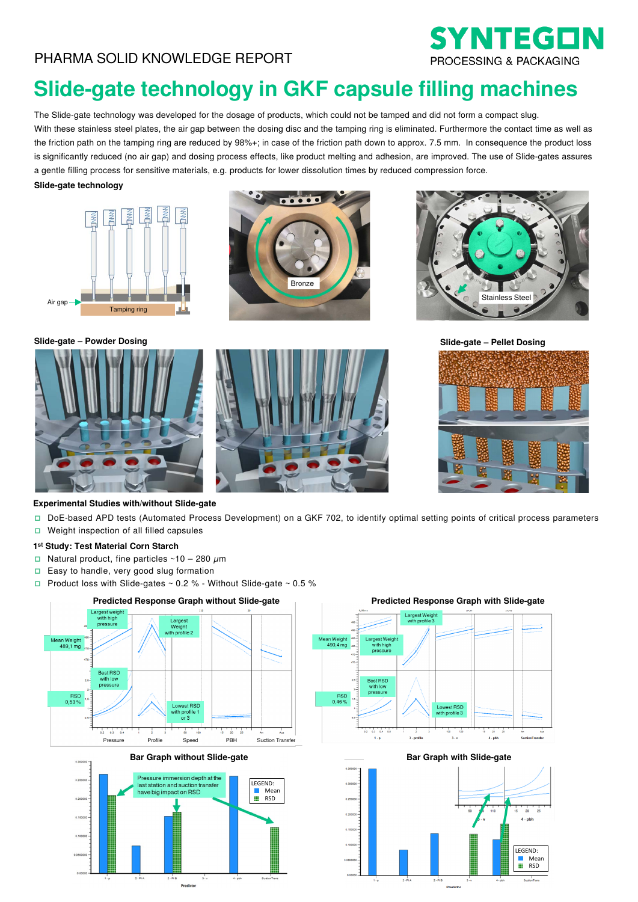

# **Slide-gate technology in GKF capsule filling machines**

The Slide-gate technology was developed for the dosage of products, which could not be tamped and did not form a compact slug. With these stainless steel plates, the air gap between the dosing disc and the tamping ring is eliminated. Furthermore the contact time as well as the friction path on the tamping ring are reduced by 98%+; in case of the friction path down to approx. 7.5 mm. In consequence the product loss is significantly reduced (no air gap) and dosing process effects, like product melting and adhesion, are improved. The use of Slide-gates assures a gentle filling process for sensitive materials, e.g. products for lower dissolution times by reduced compression force.

### . **Slide-gate technology**







**Slide-gate – Powder Dosing** 





**Slide-gate – Pellet Dosing**



# **Experimental Studies with/without Slide-gate**

- DoE-based APD tests (Automated Process Development) on a GKF 702, to identify optimal setting points of critical process parameters
- $\Box$  Weight inspection of all filled capsules

# **1st Study: Test Material Corn Starch**

- □ Natural product, fine particles  $~10 280 \mu m$
- □ Easy to handle, very good slug formation<br>□ Product loss with Slide-gates  $\approx$  0.2 % W
- Product loss with Slide-gates  $\sim$  0.2 % Without Slide-gate  $\sim$  0.5 %